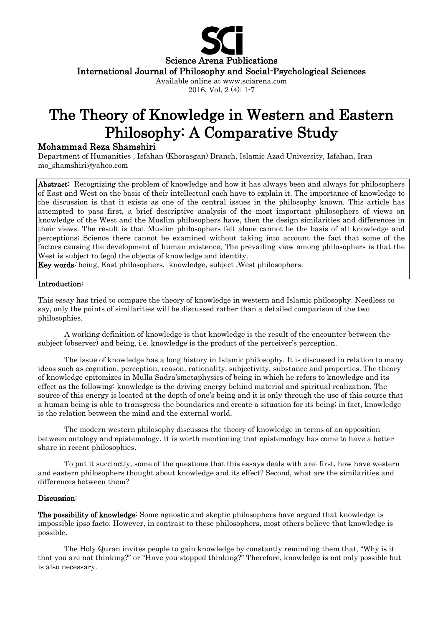

# The Theory of Knowledge in Western and Eastern Philosophy: A Comparative Study

# Mohammad Reza Shamshiri

Department of Humanities , Isfahan (Khorasgan) Branch, Islamic Azad University, Isfahan, Iran mo\_shamshiri@yahoo.com

Abstract: Recognizing the problem of knowledge and how it has always been and always for philosophers of East and West on the basis of their intellectual each have to explain it. The importance of knowledge to the discussion is that it exists as one of the central issues in the philosophy known. This article has attempted to pass first, a brief descriptive analysis of the most important philosophers of views on knowledge of the West and the Muslim philosophers have, then the design similarities and differences in their views. The result is that Muslim philosophers felt alone cannot be the basis of all knowledge and perceptions; Science there cannot be examined without taking into account the fact that some of the factors causing the development of human existence, The prevailing view among philosophers is that the West is subject to (ego) the objects of knowledge and identity.

Key words: being, East philosophers, knowledge, subject ,West philosophers.

### Introduction:

This essay has tried to compare the theory of knowledge in western and Islamic philosophy. Needless to say, only the points of similarities will be discussed rather than a detailed comparison of the two philosophies.

A working definition of knowledge is that knowledge is the result of the encounter between the subject (observer) and being, i.e. knowledge is the product of the perceiver's perception.

The issue of knowledge has a long history in Islamic philosophy. It is discussed in relation to many ideas such as cognition, perception, reason, rationality, subjectivity, substance and properties. The theory of knowledge epitomizes in Mulla Sadra'smetaphysics of being in which he refers to knowledge and its effect as the following: knowledge is the driving energy behind material and spiritual realization. The source of this energy is located at the depth of one's being and it is only through the use of this source that a human being is able to transgress the boundaries and create a situation for its being; in fact, knowledge is the relation between the mind and the external world.

The modern western philosophy discusses the theory of knowledge in terms of an opposition between ontology and epistemology. It is worth mentioning that epistemology has come to have a better share in recent philosophies.

To put it succinctly, some of the questions that this essays deals with are: first, how have western and eastern philosophers thought about knowledge and its effect? Second, what are the similarities and differences between them?

## Discussion:

The possibility of knowledge: Some agnostic and skeptic philosophers have argued that knowledge is impossible ipso facto. However, in contrast to these philosophers, most others believe that knowledge is possible.

The Holy Quran invites people to gain knowledge by constantly reminding them that, "Why is it that you are not thinking?" or "Have you stopped thinking?" Therefore, knowledge is not only possible but is also necessary.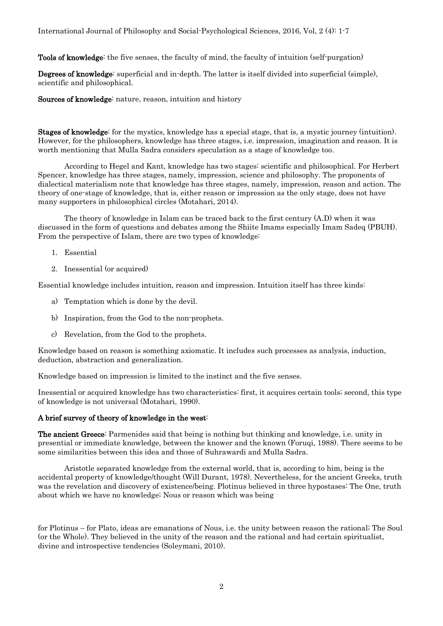Tools of knowledge: the five senses, the faculty of mind, the faculty of intuition (self-purgation)

Degrees of knowledge: superficial and in-depth. The latter is itself divided into superficial (simple), scientific and philosophical.

Sources of knowledge: nature, reason, intuition and history

Stages of knowledge: for the mystics, knowledge has a special stage, that is, a mystic journey (intuition). However, for the philosophers, knowledge has three stages, i.e. impression, imagination and reason. It is worth mentioning that Mulla Sadra considers speculation as a stage of knowledge too.

According to Hegel and Kant, knowledge has two stages: scientific and philosophical. For Herbert Spencer, knowledge has three stages, namely, impression, science and philosophy. The proponents of dialectical materialism note that knowledge has three stages, namely, impression, reason and action. The theory of one-stage of knowledge, that is, either reason or impression as the only stage, does not have many supporters in philosophical circles (Motahari, 2014).

The theory of knowledge in Islam can be traced back to the first century (A.D) when it was discussed in the form of questions and debates among the Shiite Imams especially Imam Sadeq (PBUH). From the perspective of Islam, there are two types of knowledge:

- 1. Essential
- 2. Inessential (or acquired)

Essential knowledge includes intuition, reason and impression. Intuition itself has three kinds:

- a) Temptation which is done by the devil.
- b) Inspiration, from the God to the non-prophets.
- c) Revelation, from the God to the prophets.

Knowledge based on reason is something axiomatic. It includes such processes as analysis, induction, deduction, abstraction and generalization.

Knowledge based on impression is limited to the instinct and the five senses.

Inessential or acquired knowledge has two characteristics: first, it acquires certain tools; second, this type of knowledge is not universal (Motahari, 1990).

#### A brief survey of theory of knowledge in the west:

The ancient Greece: Parmenides said that being is nothing but thinking and knowledge, i.e. unity in presential or immediate knowledge, between the knower and the known (Foruqi, 1988). There seems to be some similarities between this idea and those of Suhrawardi and Mulla Sadra.

Aristotle separated knowledge from the external world, that is, according to him, being is the accidental property of knowledge/thought (Will Durant, 1978). Nevertheless, for the ancient Greeks, truth was the revelation and discovery of existence/being. Plotinus believed in three hypostases: The One, truth about which we have no knowledge; Nous or reason which was being

for Plotinus – for Plato, ideas are emanations of Nous, i.e. the unity between reason the rational; The Soul (or the Whole). They believed in the unity of the reason and the rational and had certain spiritualist, divine and introspective tendencies (Soleymani, 2010).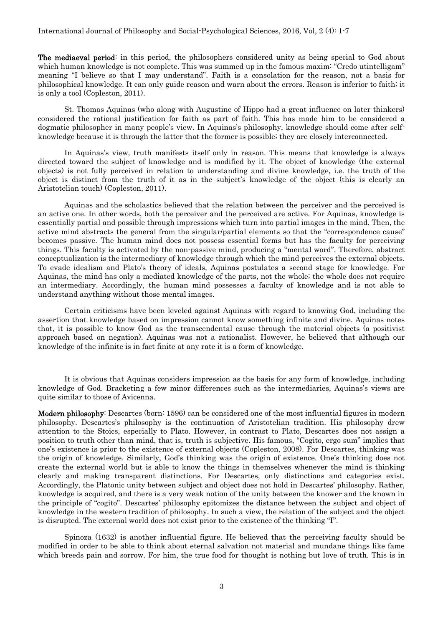The mediaeval period: in this period, the philosophers considered unity as being special to God about which human knowledge is not complete. This was summed up in the famous maxim: "Credo utintelligam" meaning "I believe so that I may understand". Faith is a consolation for the reason, not a basis for philosophical knowledge. It can only guide reason and warn about the errors. Reason is inferior to faith; it is only a tool (Copleston, 2011).

St. Thomas Aquinas (who along with Augustine of Hippo had a great influence on later thinkers) considered the rational justification for faith as part of faith. This has made him to be considered a dogmatic philosopher in many people's view. In Aquinas's philosophy, knowledge should come after selfknowledge because it is through the latter that the former is possible; they are closely interconnected.

In Aquinas's view, truth manifests itself only in reason. This means that knowledge is always directed toward the subject of knowledge and is modified by it. The object of knowledge (the external objects) is not fully perceived in relation to understanding and divine knowledge, i.e. the truth of the object is distinct from the truth of it as in the subject's knowledge of the object (this is clearly an Aristotelian touch) (Copleston, 2011).

Aquinas and the scholastics believed that the relation between the perceiver and the perceived is an active one. In other words, both the perceiver and the perceived are active. For Aquinas, knowledge is essentially partial and possible through impressions which turn into partial images in the mind. Then, the active mind abstracts the general from the singular/partial elements so that the "correspondence cause" becomes passive. The human mind does not possess essential forms but has the faculty for perceiving things. This faculty is activated by the non-passive mind, producing a "mental word". Therefore, abstract conceptualization is the intermediary of knowledge through which the mind perceives the external objects. To evade idealism and Plato's theory of ideals, Aquinas postulates a second stage for knowledge. For Aquinas, the mind has only a mediated knowledge of the parts, not the whole; the whole does not require an intermediary. Accordingly, the human mind possesses a faculty of knowledge and is not able to understand anything without those mental images.

Certain criticisms have been leveled against Aquinas with regard to knowing God, including the assertion that knowledge based on impression cannot know something infinite and divine. Aquinas notes that, it is possible to know God as the transcendental cause through the material objects (a positivist approach based on negation). Aquinas was not a rationalist. However, he believed that although our knowledge of the infinite is in fact finite at any rate it is a form of knowledge.

It is obvious that Aquinas considers impression as the basis for any form of knowledge, including knowledge of God. Bracketing a few minor differences such as the intermediaries, Aquinas's views are quite similar to those of Avicenna.

Modern philosophy: Descartes (born: 1596) can be considered one of the most influential figures in modern philosophy. Descartes's philosophy is the continuation of Aristotelian tradition. His philosophy drew attention to the Stoics, especially to Plato. However, in contrast to Plato, Descartes does not assign a position to truth other than mind, that is, truth is subjective. His famous, "Cogito, ergo sum" implies that one's existence is prior to the existence of external objects (Copleston, 2008). For Descartes, thinking was the origin of knowledge. Similarly, God's thinking was the origin of existence. One's thinking does not create the external world but is able to know the things in themselves whenever the mind is thinking clearly and making transparent distinctions. For Descartes, only distinctions and categories exist. Accordingly, the Platonic unity between subject and object does not hold in Descartes' philosophy. Rather, knowledge is acquired, and there is a very weak notion of the unity between the knower and the known in the principle of "cogito". Descartes' philosophy epitomizes the distance between the subject and object of knowledge in the western tradition of philosophy. In such a view, the relation of the subject and the object is disrupted. The external world does not exist prior to the existence of the thinking "I".

Spinoza (1632) is another influential figure. He believed that the perceiving faculty should be modified in order to be able to think about eternal salvation not material and mundane things like fame which breeds pain and sorrow. For him, the true food for thought is nothing but love of truth. This is in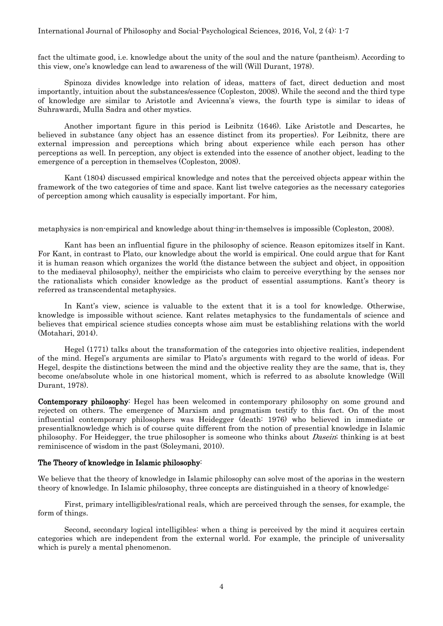#### International Journal of Philosophy and Social-Psychological Sciences, 2016, Vol, 2 (4): 1-7

fact the ultimate good, i.e. knowledge about the unity of the soul and the nature (pantheism). According to this view, one's knowledge can lead to awareness of the will (Will Durant, 1978).

Spinoza divides knowledge into relation of ideas, matters of fact, direct deduction and most importantly, intuition about the substances/essence (Copleston, 2008). While the second and the third type of knowledge are similar to Aristotle and Avicenna's views, the fourth type is similar to ideas of Suhrawardi, Mulla Sadra and other mystics.

Another important figure in this period is Leibnitz (1646). Like Aristotle and Descartes, he believed in substance (any object has an essence distinct from its properties). For Leibnitz, there are external impression and perceptions which bring about experience while each person has other perceptions as well. In perception, any object is extended into the essence of another object, leading to the emergence of a perception in themselves (Copleston, 2008).

Kant (1804) discussed empirical knowledge and notes that the perceived objects appear within the framework of the two categories of time and space. Kant list twelve categories as the necessary categories of perception among which causality is especially important. For him,

metaphysics is non-empirical and knowledge about thing-in-themselves is impossible (Copleston, 2008).

Kant has been an influential figure in the philosophy of science. Reason epitomizes itself in Kant. For Kant, in contrast to Plato, our knowledge about the world is empirical. One could argue that for Kant it is human reason which organizes the world (the distance between the subject and object, in opposition to the mediaeval philosophy), neither the empiricists who claim to perceive everything by the senses nor the rationalists which consider knowledge as the product of essential assumptions. Kant's theory is referred as transcendental metaphysics.

In Kant's view, science is valuable to the extent that it is a tool for knowledge. Otherwise, knowledge is impossible without science. Kant relates metaphysics to the fundamentals of science and believes that empirical science studies concepts whose aim must be establishing relations with the world (Motahari, 2014).

Hegel (1771) talks about the transformation of the categories into objective realities, independent of the mind. Hegel's arguments are similar to Plato's arguments with regard to the world of ideas. For Hegel, despite the distinctions between the mind and the objective reality they are the same, that is, they become one/absolute whole in one historical moment, which is referred to as absolute knowledge (Will Durant, 1978).

Contemporary philosophy: Hegel has been welcomed in contemporary philosophy on some ground and rejected on others. The emergence of Marxism and pragmatism testify to this fact. On of the most influential contemporary philosophers was Heidegger (death: 1976) who believed in immediate or presentialknowledge which is of course quite different from the notion of presential knowledge in Islamic philosophy. For Heidegger, the true philosopher is someone who thinks about Dasein; thinking is at best reminiscence of wisdom in the past (Soleymani, 2010).

#### The Theory of knowledge in Islamic philosophy:

We believe that the theory of knowledge in Islamic philosophy can solve most of the aporias in the western theory of knowledge. In Islamic philosophy, three concepts are distinguished in a theory of knowledge:

First, primary intelligibles/rational reals, which are perceived through the senses, for example, the form of things.

Second, secondary logical intelligibles: when a thing is perceived by the mind it acquires certain categories which are independent from the external world. For example, the principle of universality which is purely a mental phenomenon.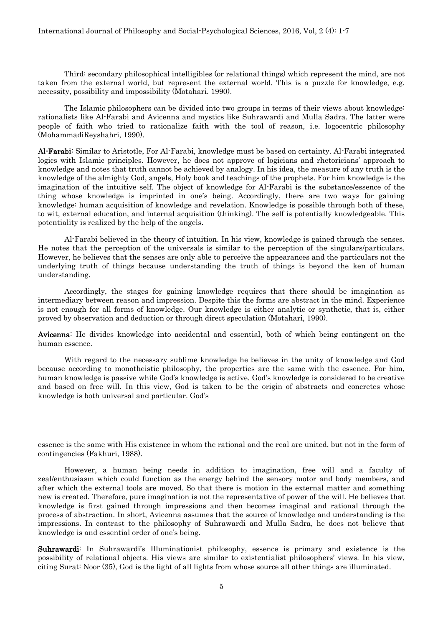Third: secondary philosophical intelligibles (or relational things) which represent the mind, are not taken from the external world, but represent the external world. This is a puzzle for knowledge, e.g. necessity, possibility and impossibility (Motahari. 1990).

The Islamic philosophers can be divided into two groups in terms of their views about knowledge: rationalists like Al-Farabi and Avicenna and mystics like Suhrawardi and Mulla Sadra. The latter were people of faith who tried to rationalize faith with the tool of reason, i.e. logocentric philosophy (MohammadiReyshahri, 1990).

Al-Farabi: Similar to Aristotle, For Al-Farabi, knowledge must be based on certainty. Al-Farabi integrated logics with Islamic principles. However, he does not approve of logicians and rhetoricians' approach to knowledge and notes that truth cannot be achieved by analogy. In his idea, the measure of any truth is the knowledge of the almighty God, angels, Holy book and teachings of the prophets. For him knowledge is the imagination of the intuitive self. The object of knowledge for Al-Farabi is the substance/essence of the thing whose knowledge is imprinted in one's being. Accordingly, there are two ways for gaining knowledge: human acquisition of knowledge and revelation. Knowledge is possible through both of these, to wit, external education, and internal acquisition (thinking). The self is potentially knowledgeable. This potentiality is realized by the help of the angels.

Al-Farabi believed in the theory of intuition. In his view, knowledge is gained through the senses. He notes that the perception of the universals is similar to the perception of the singulars/particulars. However, he believes that the senses are only able to perceive the appearances and the particulars not the underlying truth of things because understanding the truth of things is beyond the ken of human understanding.

Accordingly, the stages for gaining knowledge requires that there should be imagination as intermediary between reason and impression. Despite this the forms are abstract in the mind. Experience is not enough for all forms of knowledge. Our knowledge is either analytic or synthetic, that is, either proved by observation and deduction or through direct speculation (Motahari, 1990).

Avicenna: He divides knowledge into accidental and essential, both of which being contingent on the human essence.

With regard to the necessary sublime knowledge he believes in the unity of knowledge and God because according to monotheistic philosophy, the properties are the same with the essence. For him, human knowledge is passive while God's knowledge is active. God's knowledge is considered to be creative and based on free will. In this view, God is taken to be the origin of abstracts and concretes whose knowledge is both universal and particular. God's

essence is the same with His existence in whom the rational and the real are united, but not in the form of contingencies (Fakhuri, 1988).

However, a human being needs in addition to imagination, free will and a faculty of zeal/enthusiasm which could function as the energy behind the sensory motor and body members, and after which the external tools are moved. So that there is motion in the external matter and something new is created. Therefore, pure imagination is not the representative of power of the will. He believes that knowledge is first gained through impressions and then becomes imaginal and rational through the process of abstraction. In short, Avicenna assumes that the source of knowledge and understanding is the impressions. In contrast to the philosophy of Suhrawardi and Mulla Sadra, he does not believe that knowledge is and essential order of one's being.

Suhrawardi: In Suhrawardi's Illuminationist philosophy, essence is primary and existence is the possibility of relational objects. His views are similar to existentialist philosophers' views. In his view, citing Surat: Noor (35), God is the light of all lights from whose source all other things are illuminated.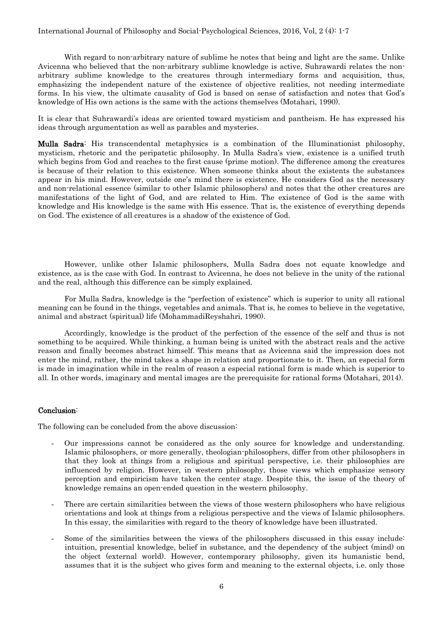With regard to non-arbitrary nature of sublime he notes that being and light are the same. Unlike Avicenna who believed that the non-arbitrary sublime knowledge is active, Suhrawardi relates the nonarbitrary sublime knowledge to the creatures through intermediary forms and acquisition, thus, emphasizing the independent nature of the existence of objective realities, not needing intermediate forms. In his view, the ultimate causality of God is based on sense of satisfaction and notes that God's knowledge of His own actions is the same with the actions themselves (Motahari, 1990).

It is clear that Suhrawardi's ideas are oriented toward mysticism and pantheism. He has expressed his ideas through argumentation as well as parables and mysteries.

Mulla Sadra: His transcendental metaphysics is a combination of the Illuminationist philosophy, mysticism, rhetoric and the peripatetic philosophy. In Mulla Sadra's view, existence is a unified truth which begins from God and reaches to the first cause (prime motion). The difference among the creatures is because of their relation to this existence. When someone thinks about the existents the substances appear in his mind. However, outside one's mind there is existence. He considers God as the necessary and non-relational essence (similar to other Islamic philosophers) and notes that the other creatures are manifestations of the light of God, and are related to Him. The existence of God is the same with knowledge and His knowledge is the same with His essence. That is, the existence of everything depends on God. The existence of all creatures is a shadow of the existence of God.

However, unlike other Islamic philosophers, Mulla Sadra does not equate knowledge and existence, as is the case with God. In contrast to Avicenna, he does not believe in the unity of the rational and the real, although this difference can be simply explained.

For Mulla Sadra, knowledge is the "perfection of existence" which is superior to unity all rational meaning can be found in the things, vegetables and animals. That is, he comes to believe in the vegetative, animal and abstract (spiritual) life (MohammadiReyshahri, 1990).

Accordingly, knowledge is the product of the perfection of the essence of the self and thus is not something to be acquired. While thinking, a human being is united with the abstract reals and the active reason and finally becomes abstract himself. This means that as Avicenna said the impression does not enter the mind, rather, the mind takes a shape in relation and proportionate to it. Then, an especial form is made in imagination while in the realm of reason a especial rational form is made which is superior to all. In other words, imaginary and mental images are the prerequisite for rational forms (Motahari, 2014).

#### Conclusion:

The following can be concluded from the above discussion:

- Our impressions cannot be considered as the only source for knowledge and understanding. Islamic philosophers, or more generally, theologian-philosophers, differ from other philosophers in that they look at things from a religious and spiritual perspective, i.e. their philosophies are influenced by religion. However, in western philosophy, those views which emphasize sensory perception and empiricism have taken the center stage. Despite this, the issue of the theory of knowledge remains an open-ended question in the western philosophy.
- There are certain similarities between the views of those western philosophers who have religious orientations and look at things from a religious perspective and the views of Islamic philosophers. In this essay, the similarities with regard to the theory of knowledge have been illustrated.
- Some of the similarities between the views of the philosophers discussed in this essay include: intuition, presential knowledge, belief in substance, and the dependency of the subject (mind) on the object (external world). However, contemporary philosophy, given its humanistic bend, assumes that it is the subject who gives form and meaning to the external objects, i.e. only those